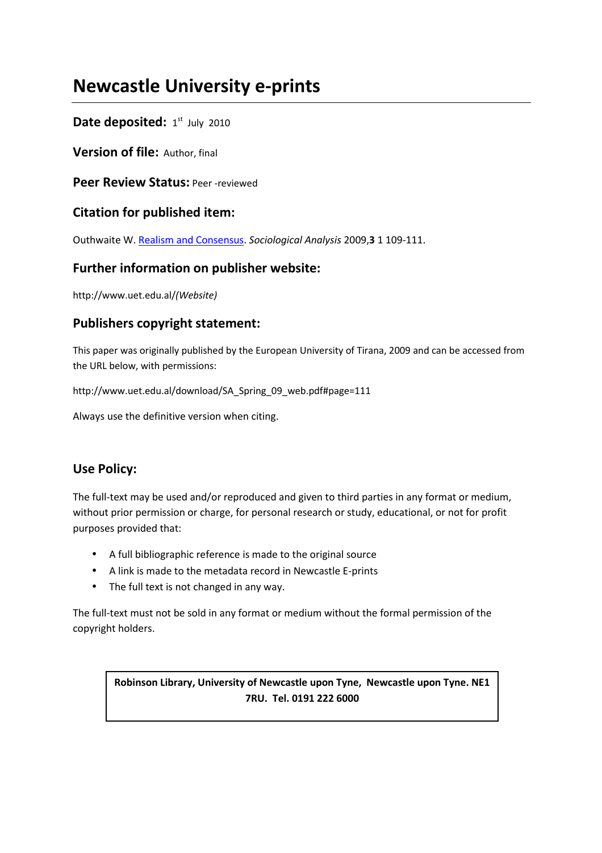# **Newcastle University e-prints**

#### **Date deposited:** 1<sup>st</sup> July 2010

**Version of file:** Author, final

**Peer Review Status:** Peer -reviewed

#### **Citation for published item:**

Outhwaite W. Realism and Consensus. *Sociological Analysis* 2009,**3** 1 109-111.

#### **Further information on publisher website:**

http://www.uet.edu.al/*(Website)* 

### **Publishers copyright statement:**

This paper was originally published by the European University of Tirana, 2009 and can be accessed from the URL below, with permissions:

http://www.uet.edu.al/download/SA\_Spring\_09\_web.pdf#page=111

Always use the definitive version when citing.

## **Use Policy:**

The full-text may be used and/or reproduced and given to third parties in any format or medium, without prior permission or charge, for personal research or study, educational, or not for profit purposes provided that:

- A full bibliographic reference is made to the original source
- A link is made to the metadata record in Newcastle E-prints
- The full text is not changed in any way.

The full-text must not be sold in any format or medium without the formal permission of the copyright holders.

**Robinson Library, University of Newcastle upon Tyne, Newcastle upon Tyne. NE1 7RU. Tel. 0191 222 6000**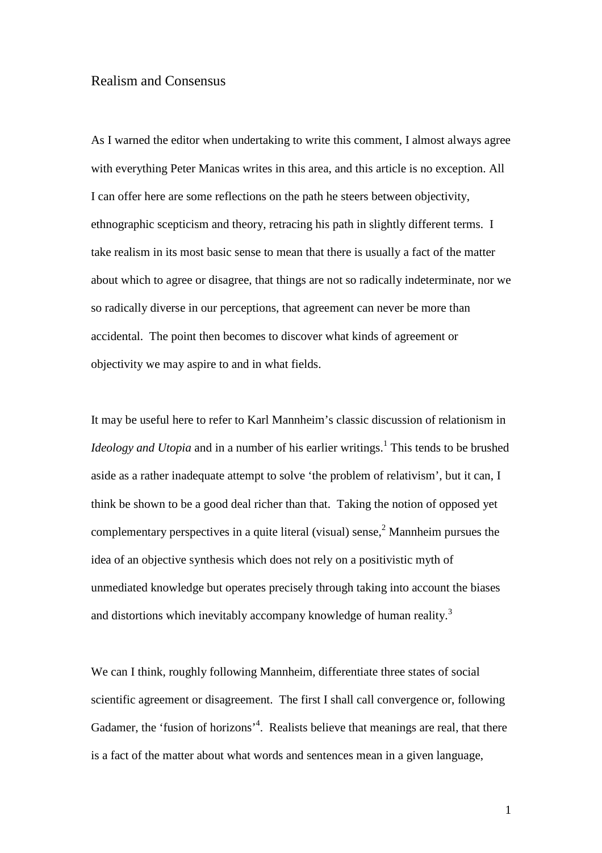#### Realism and Consensus

As I warned the editor when undertaking to write this comment, I almost always agree with everything Peter Manicas writes in this area, and this article is no exception. All I can offer here are some reflections on the path he steers between objectivity, ethnographic scepticism and theory, retracing his path in slightly different terms. I take realism in its most basic sense to mean that there is usually a fact of the matter about which to agree or disagree, that things are not so radically indeterminate, nor we so radically diverse in our perceptions, that agreement can never be more than accidental. The point then becomes to discover what kinds of agreement or objectivity we may aspire to and in what fields.

It may be useful here to refer to Karl Mannheim's classic discussion of relationism in *Ideology and Utopia* and in a number of his earlier writings.<sup>1</sup> This tends to be brushed aside as a rather inadequate attempt to solve 'the problem of relativism', but it can, I think be shown to be a good deal richer than that. Taking the notion of opposed yet complementary perspectives in a quite literal (visual) sense,<sup>2</sup> Mannheim pursues the idea of an objective synthesis which does not rely on a positivistic myth of unmediated knowledge but operates precisely through taking into account the biases and distortions which inevitably accompany knowledge of human reality.<sup>3</sup>

We can I think, roughly following Mannheim, differentiate three states of social scientific agreement or disagreement. The first I shall call convergence or, following Gadamer, the 'fusion of horizons'<sup>4</sup>. Realists believe that meanings are real, that there is a fact of the matter about what words and sentences mean in a given language,

1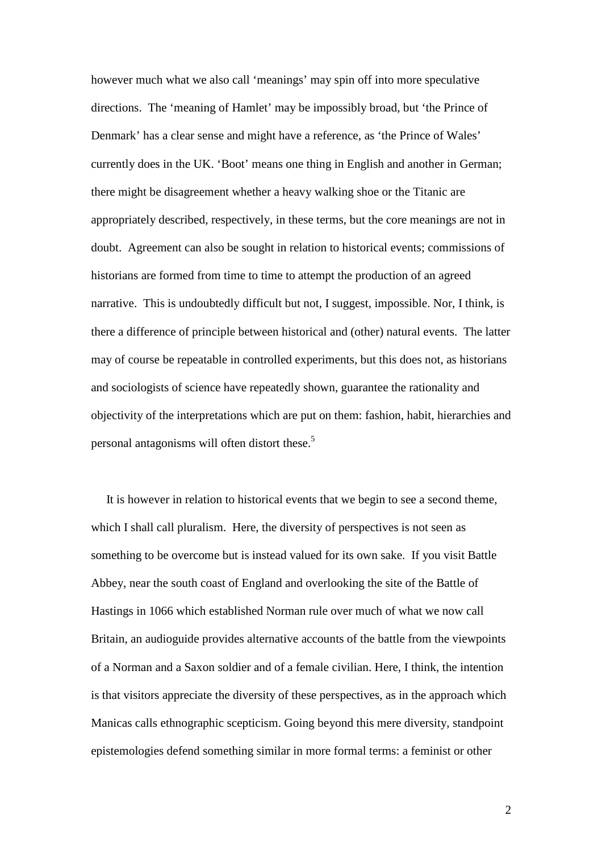however much what we also call 'meanings' may spin off into more speculative directions. The 'meaning of Hamlet' may be impossibly broad, but 'the Prince of Denmark' has a clear sense and might have a reference, as 'the Prince of Wales' currently does in the UK. 'Boot' means one thing in English and another in German; there might be disagreement whether a heavy walking shoe or the Titanic are appropriately described, respectively, in these terms, but the core meanings are not in doubt. Agreement can also be sought in relation to historical events; commissions of historians are formed from time to time to attempt the production of an agreed narrative. This is undoubtedly difficult but not, I suggest, impossible. Nor, I think, is there a difference of principle between historical and (other) natural events. The latter may of course be repeatable in controlled experiments, but this does not, as historians and sociologists of science have repeatedly shown, guarantee the rationality and objectivity of the interpretations which are put on them: fashion, habit, hierarchies and personal antagonisms will often distort these.<sup>5</sup>

 It is however in relation to historical events that we begin to see a second theme, which I shall call pluralism. Here, the diversity of perspectives is not seen as something to be overcome but is instead valued for its own sake. If you visit Battle Abbey, near the south coast of England and overlooking the site of the Battle of Hastings in 1066 which established Norman rule over much of what we now call Britain, an audioguide provides alternative accounts of the battle from the viewpoints of a Norman and a Saxon soldier and of a female civilian. Here, I think, the intention is that visitors appreciate the diversity of these perspectives, as in the approach which Manicas calls ethnographic scepticism. Going beyond this mere diversity, standpoint epistemologies defend something similar in more formal terms: a feminist or other

2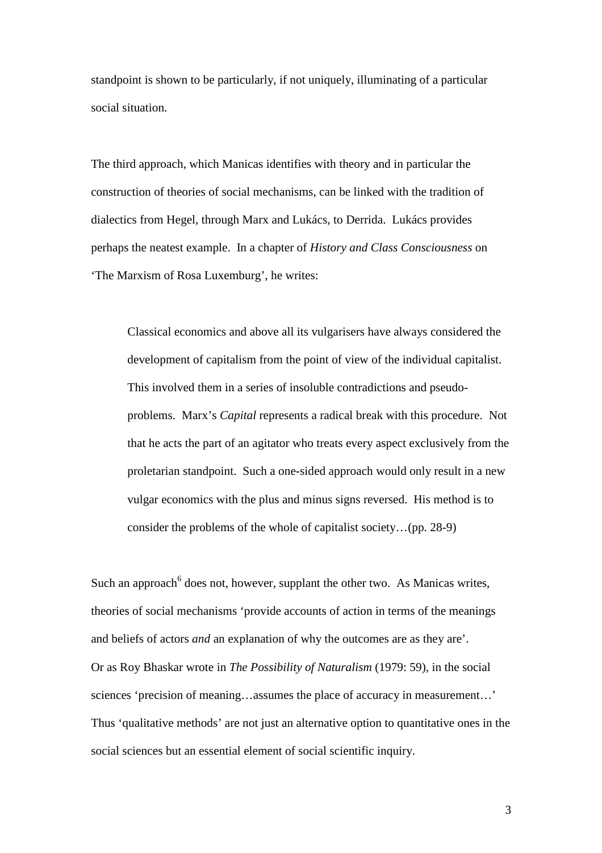standpoint is shown to be particularly, if not uniquely, illuminating of a particular social situation.

The third approach, which Manicas identifies with theory and in particular the construction of theories of social mechanisms, can be linked with the tradition of dialectics from Hegel, through Marx and Lukács, to Derrida. Lukács provides perhaps the neatest example. In a chapter of *History and Class Consciousness* on 'The Marxism of Rosa Luxemburg', he writes:

Classical economics and above all its vulgarisers have always considered the development of capitalism from the point of view of the individual capitalist. This involved them in a series of insoluble contradictions and pseudoproblems. Marx's *Capital* represents a radical break with this procedure. Not that he acts the part of an agitator who treats every aspect exclusively from the proletarian standpoint. Such a one-sided approach would only result in a new vulgar economics with the plus and minus signs reversed. His method is to consider the problems of the whole of capitalist society…(pp. 28-9)

Such an approach $<sup>6</sup>$  does not, however, supplant the other two. As Manicas writes,</sup> theories of social mechanisms 'provide accounts of action in terms of the meanings and beliefs of actors *and* an explanation of why the outcomes are as they are'. Or as Roy Bhaskar wrote in *The Possibility of Naturalism* (1979: 59), in the social sciences 'precision of meaning…assumes the place of accuracy in measurement…' Thus 'qualitative methods' are not just an alternative option to quantitative ones in the social sciences but an essential element of social scientific inquiry.

3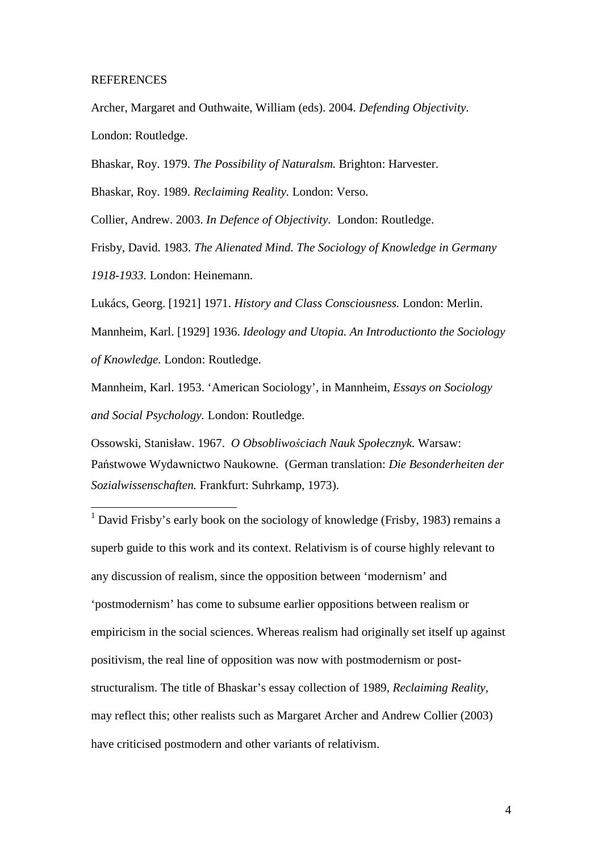#### REFERENCES

Archer, Margaret and Outhwaite, William (eds). 2004. *Defending Objectivity*. London: Routledge.

Bhaskar, Roy. 1979. *The Possibility of Naturalsm.* Brighton: Harvester.

Bhaskar, Roy. 1989. *Reclaiming Reality.* London: Verso.

Collier, Andrew. 2003. *In Defence of Objectivity*. London: Routledge.

Frisby, David. 1983. *The Alienated Mind. The Sociology of Knowledge in Germany 1918-1933.* London: Heinemann.

Lukács, Georg. [1921] 1971. *History and Class Consciousness.* London: Merlin. Mannheim, Karl. [1929] 1936. *Ideology and Utopia. An Introductionto the Sociology of Knowledge.* London: Routledge.

Mannheim, Karl. 1953. 'American Sociology', in Mannheim, *Essays on Sociology and Social Psychology.* London: Routledge.

Ossowski, Stanisław. 1967. *O Obsobliwościach Nauk Społecznyk.* Warsaw: Państwowe Wydawnictwo Naukowne. (German translation: *Die Besonderheiten der Sozialwissenschaften.* Frankfurt: Suhrkamp, 1973).

 1 David Frisby's early book on the sociology of knowledge (Frisby, 1983) remains a superb guide to this work and its context. Relativism is of course highly relevant to any discussion of realism, since the opposition between 'modernism' and 'postmodernism' has come to subsume earlier oppositions between realism or empiricism in the social sciences. Whereas realism had originally set itself up against positivism, the real line of opposition was now with postmodernism or poststructuralism. The title of Bhaskar's essay collection of 1989, *Reclaiming Reality*, may reflect this; other realists such as Margaret Archer and Andrew Collier (2003) have criticised postmodern and other variants of relativism.